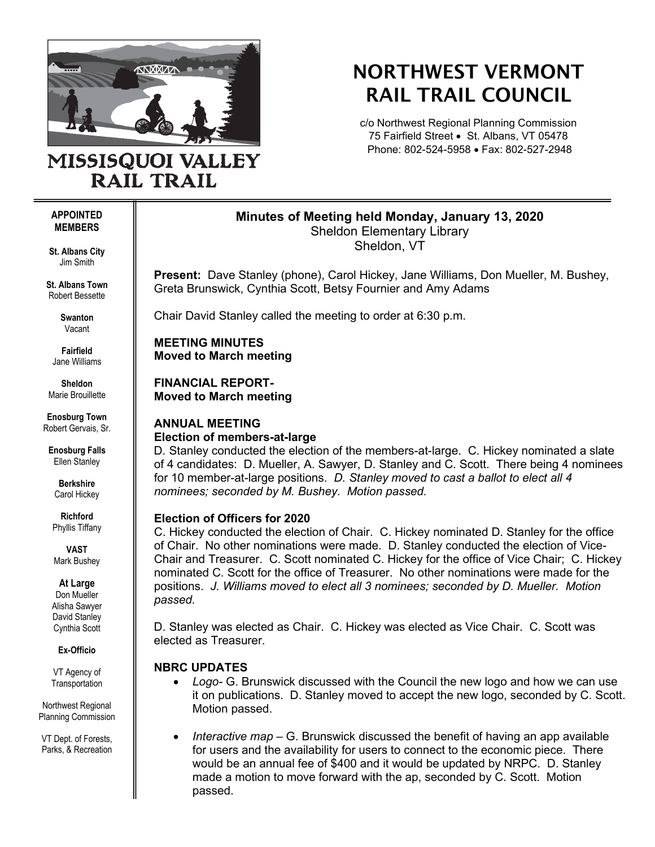

**RAIL TRAIL** 

# NORTHWEST VERMONT RAIL TRAIL COUNCIL

c/o Northwest Regional Planning Commission 75 Fairfield Street • St. Albans, VT 05478 Phone: 802-524-5958 • Fax: 802-527-2948

#### **APPOINTED MEMBERS**

**St. Albans City** Jim Smith

**St. Albans Town** Robert Bessette

> **Swanton** Vacant

**Fairfield** Jane Williams

**Sheldon** Marie Brouillette

**Enosburg Town** Robert Gervais, Sr.

**Enosburg Falls** Ellen Stanley

> **Berkshire** Carol Hickey

**Richford** Phyllis Tiffany

**VAST** Mark Bushey

**At Large**

Don Mueller Alisha Sawyer David Stanley Cynthia Scott

**Ex-Officio**

VT Agency of **Transportation** 

Northwest Regional Planning Commission

VT Dept. of Forests, Parks, & Recreation

## **Minutes of Meeting held Monday, January 13, 2020** Sheldon Elementary Library

Sheldon, VT

**Present:** Dave Stanley (phone), Carol Hickey, Jane Williams, Don Mueller, M. Bushey, Greta Brunswick, Cynthia Scott, Betsy Fournier and Amy Adams

Chair David Stanley called the meeting to order at 6:30 p.m.

**MEETING MINUTES Moved to March meeting**

**FINANCIAL REPORT-Moved to March meeting**

## **ANNUAL MEETING Election of members-at-large**

D. Stanley conducted the election of the members-at-large. C. Hickey nominated a slate of 4 candidates: D. Mueller, A. Sawyer, D. Stanley and C. Scott. There being 4 nominees for 10 member-at-large positions. *D. Stanley moved to cast a ballot to elect all 4 nominees; seconded by M. Bushey. Motion passed.*

# **Election of Officers for 2020**

C. Hickey conducted the election of Chair. C. Hickey nominated D. Stanley for the office of Chair. No other nominations were made. D. Stanley conducted the election of Vice-Chair and Treasurer. C. Scott nominated C. Hickey for the office of Vice Chair; C. Hickey nominated C. Scott for the office of Treasurer. No other nominations were made for the positions. *J. Williams moved to elect all 3 nominees; seconded by D. Mueller. Motion passed.* 

D. Stanley was elected as Chair. C. Hickey was elected as Vice Chair. C. Scott was elected as Treasurer.

# **NBRC UPDATES**

- *Logo-* G. Brunswick discussed with the Council the new logo and how we can use it on publications. D. Stanley moved to accept the new logo, seconded by C. Scott. Motion passed.
- *Interactive map* G. Brunswick discussed the benefit of having an app available for users and the availability for users to connect to the economic piece. There would be an annual fee of \$400 and it would be updated by NRPC. D. Stanley made a motion to move forward with the ap, seconded by C. Scott. Motion passed.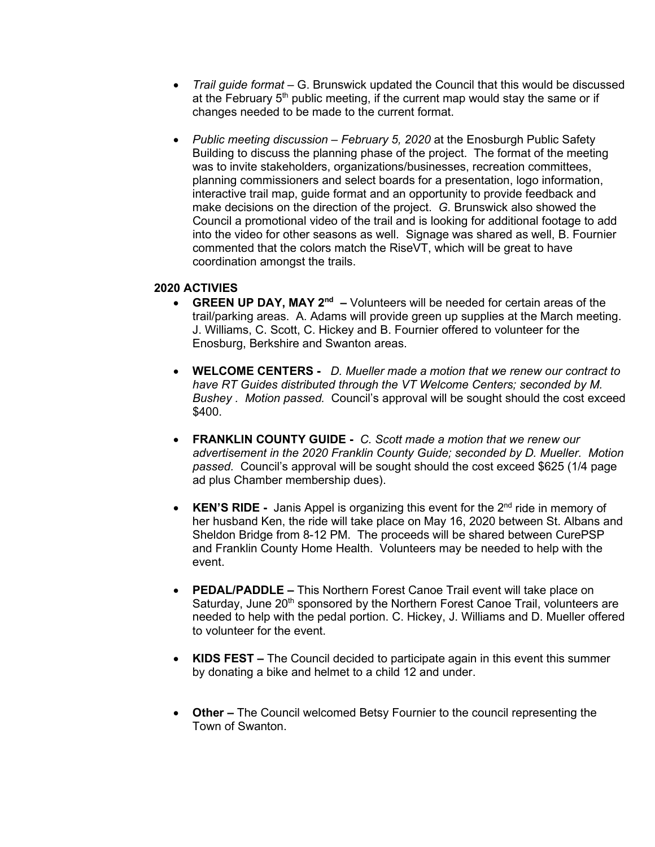- *Trail guide format* G. Brunswick updated the Council that this would be discussed at the February  $5<sup>th</sup>$  public meeting, if the current map would stay the same or if changes needed to be made to the current format.
- *Public meeting discussion – February 5, 2020* at the Enosburgh Public Safety Building to discuss the planning phase of the project. The format of the meeting was to invite stakeholders, organizations/businesses, recreation committees, planning commissioners and select boards for a presentation, logo information, interactive trail map, guide format and an opportunity to provide feedback and make decisions on the direction of the project. *G.* Brunswick also showed the Council a promotional video of the trail and is looking for additional footage to add into the video for other seasons as well. Signage was shared as well, B. Fournier commented that the colors match the RiseVT, which will be great to have coordination amongst the trails.

## **2020 ACTIVIES**

- **GREEN UP DAY, MAY 2<sup>nd</sup>** Volunteers will be needed for certain areas of the trail/parking areas. A. Adams will provide green up supplies at the March meeting. J. Williams, C. Scott, C. Hickey and B. Fournier offered to volunteer for the Enosburg, Berkshire and Swanton areas.
- **WELCOME CENTERS -** *D. Mueller made a motion that we renew our contract to have RT Guides distributed through the VT Welcome Centers; seconded by M. Bushey . Motion passed.* Council's approval will be sought should the cost exceed \$400.
- **FRANKLIN COUNTY GUIDE -** *C. Scott made a motion that we renew our advertisement in the 2020 Franklin County Guide; seconded by D. Mueller. Motion passed.* Council's approval will be sought should the cost exceed \$625 (1/4 page ad plus Chamber membership dues).
- **KEN'S RIDE** Janis Appel is organizing this event for the 2<sup>nd</sup> ride in memory of her husband Ken, the ride will take place on May 16, 2020 between St. Albans and Sheldon Bridge from 8-12 PM. The proceeds will be shared between CurePSP and Franklin County Home Health. Volunteers may be needed to help with the event.
- **PEDAL/PADDLE –** This Northern Forest Canoe Trail event will take place on Saturday, June 20<sup>th</sup> sponsored by the Northern Forest Canoe Trail, volunteers are needed to help with the pedal portion. C. Hickey, J. Williams and D. Mueller offered to volunteer for the event.
- **KIDS FEST –** The Council decided to participate again in this event this summer by donating a bike and helmet to a child 12 and under.
- **Other –** The Council welcomed Betsy Fournier to the council representing the Town of Swanton.